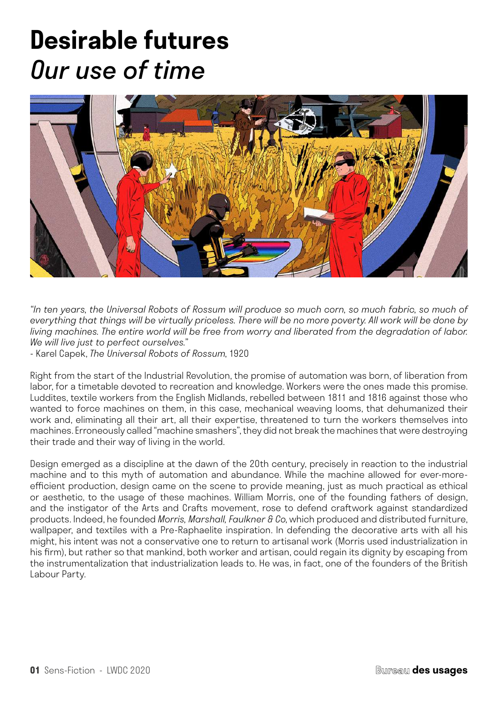# **Desirable futures** *Our use of time*



*"In ten years, the Universal Robots of Rossum will produce so much corn, so much fabric, so much of everything that things will be virtually priceless. There will be no more poverty. All work will be done by living machines. The entire world will be free from worry and liberated from the degradation of labor. We will live just to perfect ourselves."*

*-* Karel Capek, *The Universal Robots of Rossum*, 1920

Right from the start of the Industrial Revolution, the promise of automation was born, of liberation from labor, for a timetable devoted to recreation and knowledge. Workers were the ones made this promise. Luddites, textile workers from the English Midlands, rebelled between 1811 and 1816 against those who wanted to force machines on them, in this case, mechanical weaving looms, that dehumanized their work and, eliminating all their art, all their expertise, threatened to turn the workers themselves into machines. Erroneously called "machine smashers", they did not break the machines that were destroying their trade and their way of living in the world.

Design emerged as a discipline at the dawn of the 20th century, precisely in reaction to the industrial machine and to this myth of automation and abundance. While the machine allowed for ever-moreefficient production, design came on the scene to provide meaning, just as much practical as ethical or aesthetic, to the usage of these machines. William Morris, one of the founding fathers of design, and the instigator of the Arts and Crafts movement, rose to defend craftwork against standardized products. Indeed, he founded *Morris, Marshall, Faulkner & Co*, which produced and distributed furniture, wallpaper, and textiles with a Pre-Raphaelite inspiration. In defending the decorative arts with all his might, his intent was not a conservative one to return to artisanal work (Morris used industrialization in his firm), but rather so that mankind, both worker and artisan, could regain its dignity by escaping from the instrumentalization that industrialization leads to. He was, in fact, one of the founders of the British Labour Party.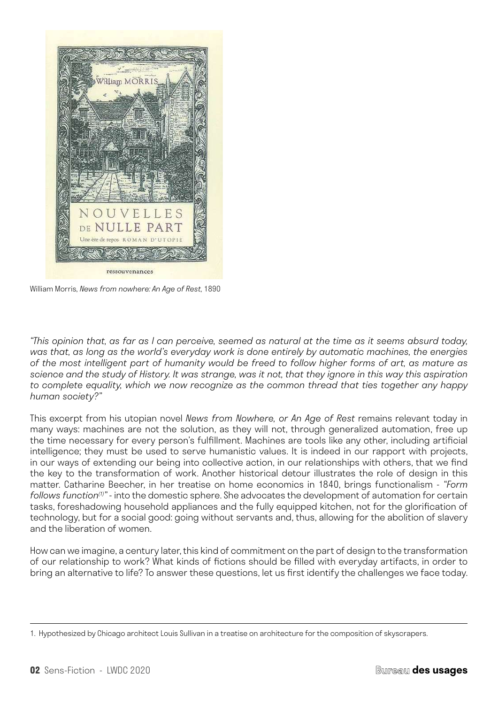

William Morris, *News from nowhere: An Age of Rest,* 1890

*"This opinion that, as far as I can perceive, seemed as natural at the time as it seems absurd today, was that, as long as the world's everyday work is done entirely by automatic machines, the energies of the most intelligent part of humanity would be freed to follow higher forms of art, as mature as science and the study of History. It was strange, was it not, that they ignore in this way this aspiration to complete equality, which we now recognize as the common thread that ties together any happy human society?"* 

This excerpt from his utopian novel *News from Nowhere, or An Age of Rest* remains relevant today in many ways: machines are not the solution, as they will not, through generalized automation, free up the time necessary for every person's fulfillment. Machines are tools like any other, including artificial intelligence; they must be used to serve humanistic values. It is indeed in our rapport with projects, in our ways of extending our being into collective action, in our relationships with others, that we find the key to the transformation of work. Another historical detour illustrates the role of design in this matter. Catharine Beecher, in her treatise on home economics in 1840, brings functionalism - *"Form follows function(1)"* - into the domestic sphere. She advocates the development of automation for certain tasks, foreshadowing household appliances and the fully equipped kitchen, not for the glorification of technology, but for a social good: going without servants and, thus, allowing for the abolition of slavery and the liberation of women.

How can we imagine, a century later, this kind of commitment on the part of design to the transformation of our relationship to work? What kinds of fictions should be filled with everyday artifacts, in order to bring an alternative to life? To answer these questions, let us first identify the challenges we face today.

<sup>1.</sup> Hypothesized by Chicago architect Louis Sullivan in a treatise on architecture for the composition of skyscrapers.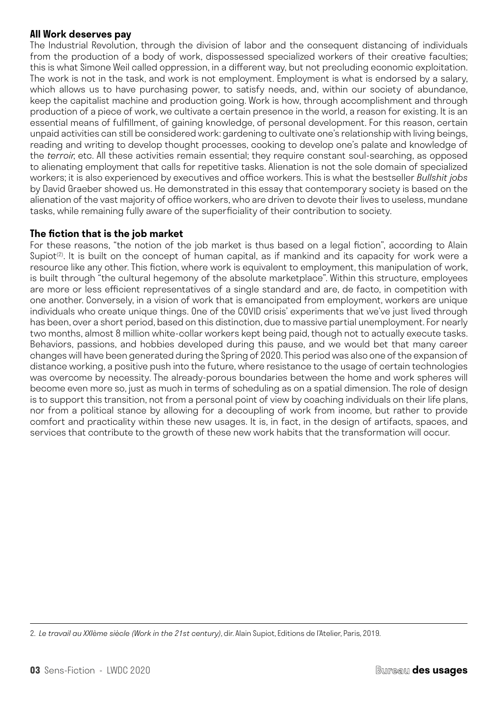#### **All Work deserves pay**

The Industrial Revolution, through the division of labor and the consequent distancing of individuals from the production of a body of work, dispossessed specialized workers of their creative faculties; this is what Simone Weil called oppression, in a different way, but not precluding economic exploitation. The work is not in the task, and work is not employment. Employment is what is endorsed by a salary, which allows us to have purchasing power, to satisfy needs, and, within our society of abundance, keep the capitalist machine and production going. Work is how, through accomplishment and through production of a piece of work, we cultivate a certain presence in the world, a reason for existing. It is an essential means of fulfillment, of gaining knowledge, of personal development. For this reason, certain unpaid activities can still be considered work: gardening to cultivate one's relationship with living beings, reading and writing to develop thought processes, cooking to develop one's palate and knowledge of the *terroir*, etc. All these activities remain essential; they require constant soul-searching, as opposed to alienating employment that calls for repetitive tasks. Alienation is not the sole domain of specialized workers; it is also experienced by executives and office workers. This is what the bestseller *Bullshit jobs* by David Graeber showed us. He demonstrated in this essay that contemporary society is based on the alienation of the vast majority of office workers, who are driven to devote their lives to useless, mundane tasks, while remaining fully aware of the superficiality of their contribution to society.

### **The fiction that is the job market**

For these reasons, "the notion of the job market is thus based on a legal fiction", according to Alain Supiot<sup>(2)</sup>. It is built on the concept of human capital, as if mankind and its capacity for work were a resource like any other. This fiction, where work is equivalent to employment, this manipulation of work, is built through "the cultural hegemony of the absolute marketplace". Within this structure, employees are more or less efficient representatives of a single standard and are, de facto, in competition with one another. Conversely, in a vision of work that is emancipated from employment, workers are unique individuals who create unique things. One of the COVID crisis' experiments that we've just lived through has been, over a short period, based on this distinction, due to massive partial unemployment. For nearly two months, almost 8 million white-collar workers kept being paid, though not to actually execute tasks. Behaviors, passions, and hobbies developed during this pause, and we would bet that many career changes will have been generated during the Spring of 2020. This period was also one of the expansion of distance working, a positive push into the future, where resistance to the usage of certain technologies was overcome by necessity. The already-porous boundaries between the home and work spheres will become even more so, just as much in terms of scheduling as on a spatial dimension. The role of design is to support this transition, not from a personal point of view by coaching individuals on their life plans, nor from a political stance by allowing for a decoupling of work from income, but rather to provide comfort and practicality within these new usages. It is, in fact, in the design of artifacts, spaces, and services that contribute to the growth of these new work habits that the transformation will occur.

<sup>2.</sup> *Le travail au XXIème siècle (Work in the 21st century)*, dir. Alain Supiot, Editions de l'Atelier, Paris, 2019.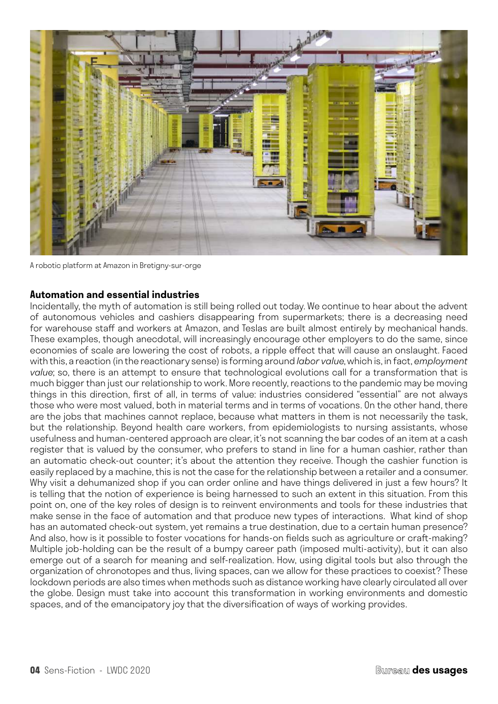

A robotic platform at Amazon in Bretigny-sur-orge

### **Automation and essential industries**

Incidentally, the myth of automation is still being rolled out today. We continue to hear about the advent of autonomous vehicles and cashiers disappearing from supermarkets; there is a decreasing need for warehouse staff and workers at Amazon, and Teslas are built almost entirely by mechanical hands. These examples, though anecdotal, will increasingly encourage other employers to do the same, since economies of scale are lowering the cost of robots, a ripple effect that will cause an onslaught. Faced with this, a reaction (in the reactionary sense) is forming around *labor value*, which is, in fact, *employment value*; so, there is an attempt to ensure that technological evolutions call for a transformation that is much bigger than just our relationship to work. More recently, reactions to the pandemic may be moving things in this direction, first of all, in terms of value: industries considered "essential" are not always those who were most valued, both in material terms and in terms of vocations. On the other hand, there are the jobs that machines cannot replace, because what matters in them is not necessarily the task, but the relationship. Beyond health care workers, from epidemiologists to nursing assistants, whose usefulness and human-centered approach are clear, it's not scanning the bar codes of an item at a cash register that is valued by the consumer, who prefers to stand in line for a human cashier, rather than an automatic check-out counter; it's about the attention they receive. Though the cashier function is easily replaced by a machine, this is not the case for the relationship between a retailer and a consumer. Why visit a dehumanized shop if you can order online and have things delivered in just a few hours? It is telling that the notion of experience is being harnessed to such an extent in this situation. From this point on, one of the key roles of design is to reinvent environments and tools for these industries that make sense in the face of automation and that produce new types of interactions. What kind of shop has an automated check-out system, yet remains a true destination, due to a certain human presence? And also, how is it possible to foster vocations for hands-on fields such as agriculture or craft-making? Multiple job-holding can be the result of a bumpy career path (imposed multi-activity), but it can also emerge out of a search for meaning and self-realization. How, using digital tools but also through the organization of chronotopes and thus, living spaces, can we allow for these practices to coexist? These lockdown periods are also times when methods such as distance working have clearly circulated all over the globe. Design must take into account this transformation in working environments and domestic spaces, and of the emancipatory joy that the diversification of ways of working provides.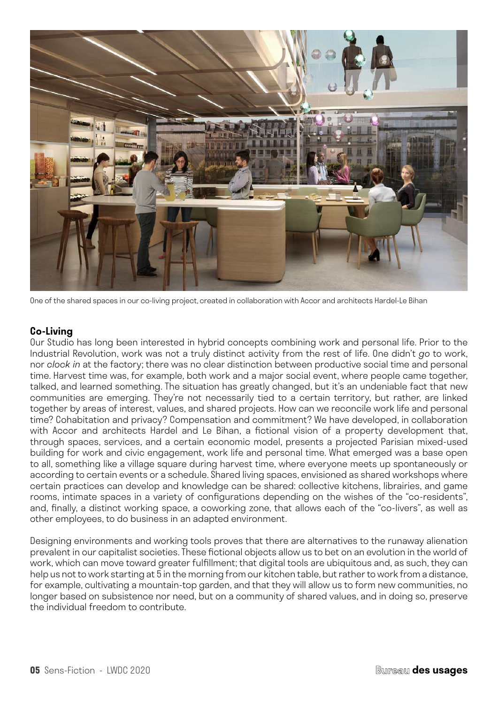

One of the shared spaces in our co-living project, created in collaboration with Accor and architects Hardel-Le Bihan

## **Co-Living**

Our Studio has long been interested in hybrid concepts combining work and personal life. Prior to the Industrial Revolution, work was not a truly distinct activity from the rest of life. One didn't *go* to work, nor *clock in* at the factory; there was no clear distinction between productive social time and personal time. Harvest time was, for example, both work and a major social event, where people came together, talked, and learned something. The situation has greatly changed, but it's an undeniable fact that new communities are emerging. They're not necessarily tied to a certain territory, but rather, are linked together by areas of interest, values, and shared projects. How can we reconcile work life and personal time? Cohabitation and privacy? Compensation and commitment? We have developed, in collaboration with Accor and architects Hardel and Le Bihan, a fictional vision of a property development that, through spaces, services, and a certain economic model, presents a projected Parisian mixed-used building for work and civic engagement, work life and personal time. What emerged was a base open to all, something like a village square during harvest time, where everyone meets up spontaneously or according to certain events or a schedule. Shared living spaces, envisioned as shared workshops where certain practices can develop and knowledge can be shared: collective kitchens, librairies, and game rooms, intimate spaces in a variety of configurations depending on the wishes of the "co-residents", and, finally, a distinct working space, a coworking zone, that allows each of the "co-livers", as well as other employees, to do business in an adapted environment.

Designing environments and working tools proves that there are alternatives to the runaway alienation prevalent in our capitalist societies. These fictional objects allow us to bet on an evolution in the world of work, which can move toward greater fulfillment; that digital tools are ubiquitous and, as such, they can help us not to work starting at 5 in the morning from our kitchen table, but rather to work from a distance, for example, cultivating a mountain-top garden, and that they will allow us to form new communities, no longer based on subsistence nor need, but on a community of shared values, and in doing so, preserve the individual freedom to contribute.